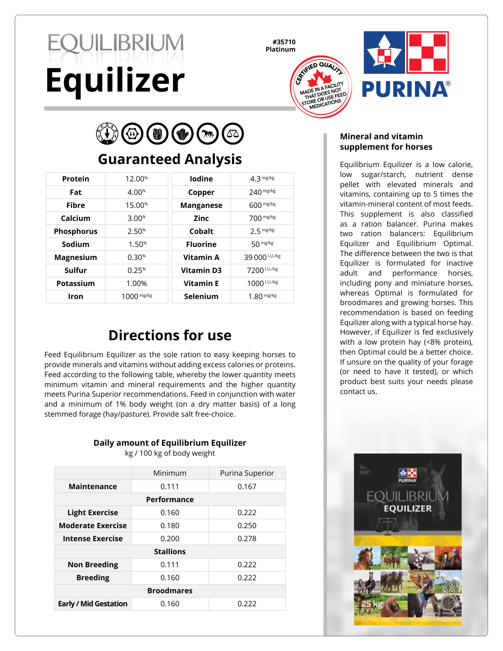# **EQUILIBRIUM Equilizer**

**#35710 Platinum**





(H)

## **Guaranteed Analysis**

| Protein           | 12.00%             | <b>lodine</b>     | $4.3$ mg/kg    |
|-------------------|--------------------|-------------------|----------------|
| Fat               | 4.00%              | Copper            | $240$ mg/kg    |
| Fibre             | 15.00 <sup>%</sup> | <b>Manganese</b>  | $600$ mg/kg    |
| Calcium           | 3.00%              | Zinc              | 700 mg/kg      |
| <b>Phosphorus</b> | 2.50%              | Cobalt            | $2.5$ mg/kg    |
| Sodium            | 1.50%              | <b>Fluorine</b>   | 50 mg/kg       |
| <b>Magnesium</b>  | 0.30%              | Vitamin A         | 39 000 I.U./kg |
| Sulfur            | 0.25%              | <b>Vitamin D3</b> | 7200 I.U./kg   |
| Potassium         | 1.00%              | <b>Vitamin E</b>  | 1000 I.U./kg   |
| Iron              | $1000$ mg/kg       | Selenium          | $1.80$ mg/kg   |

## **Directions for use**

Feed Equilibrium Equilizer as the sole ration to easy keeping horses to provide minerals and vitamins without adding excess calories or proteins. Feed according to the following table, whereby the lower quantity meets minimum vitamin and mineral requirements and the higher quantity meets Purina Superior recommendations. Feed in conjunction with water and a minimum of 1% body weight (on a dry matter basis) of a long stemmed forage (hay/pasture). Provide salt free-choice.

#### **Daily amount of Equilibrium Equilizer**

kg / 100 kg of body weight

| Minimum           | Purina Superior |  |  |  |
|-------------------|-----------------|--|--|--|
| 0.111             | 0.167           |  |  |  |
| Performance       |                 |  |  |  |
| 0.160             | 0.222           |  |  |  |
| 0.180             | 0.250           |  |  |  |
| 0.200             | 0.278           |  |  |  |
| <b>Stallions</b>  |                 |  |  |  |
| 0.111             | 0.222           |  |  |  |
| 0.160             | 0.222           |  |  |  |
| <b>Broodmares</b> |                 |  |  |  |
| 0.160             | 0.222           |  |  |  |
|                   |                 |  |  |  |

#### **Mineral and vitamin supplement for horses**

Equilibrium Equilizer is a low calorie, low sugar/starch, nutrient dense pellet with elevated minerals and vitamins, containing up to 5 times the vitamin-mineral content of most feeds. This supplement is also classified as a ration balancer. Purina makes two ration balancers: Equilibrium Equilizer and Equilibrium Optimal. The difference between the two is that Equilizer is formulated for inactive adult and performance horses, including pony and miniature horses, whereas Optimal is formulated for broodmares and growing horses. This recommendation is based on feeding Equilizer along with a typical horse hay. However, if Equilizer is fed exclusively with a low protein hay (<8% protein), then Optimal could be a better choice. If unsure on the quality of your forage (or need to have it tested), or which product best suits your needs please contact us.